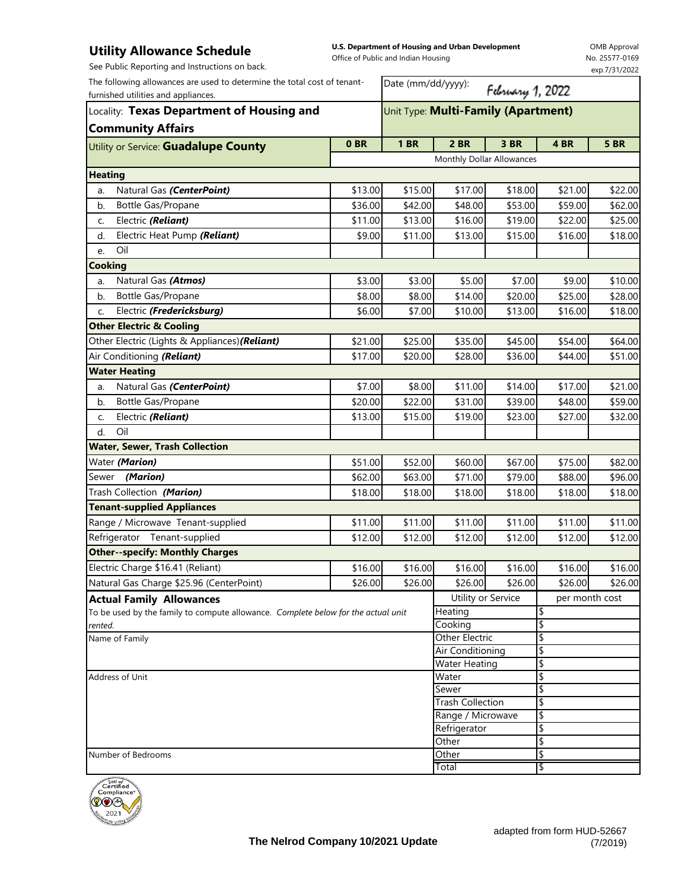## **Utility Allowance Schedule**

**U.S. Department of Housing and Urban Development**  Office of Public and Indian Housing

OMB Approval No. 25577-0169 exp.7/31/2022

| See Public Reporting and Instructions on back.                                                                  |         | Office of Fublic and mulati Housing |                                     |                  |                | exp.7/31/2022 |  |  |
|-----------------------------------------------------------------------------------------------------------------|---------|-------------------------------------|-------------------------------------|------------------|----------------|---------------|--|--|
| The following allowances are used to determine the total cost of tenant-<br>furnished utilities and appliances. |         | Date (mm/dd/yyyy):                  |                                     | February 1, 2022 |                |               |  |  |
| Locality: Texas Department of Housing and                                                                       |         |                                     | Unit Type: Multi-Family (Apartment) |                  |                |               |  |  |
| <b>Community Affairs</b>                                                                                        |         |                                     |                                     |                  |                |               |  |  |
| Utility or Service: Guadalupe County                                                                            | 0BR     | <b>1 BR</b>                         | <b>2 BR</b>                         | 3 BR             | 4 BR           | <b>5 BR</b>   |  |  |
|                                                                                                                 |         |                                     | Monthly Dollar Allowances           |                  |                |               |  |  |
| <b>Heating</b>                                                                                                  |         |                                     |                                     |                  |                |               |  |  |
| Natural Gas (CenterPoint)<br>a.                                                                                 | \$13.00 | \$15.00                             | \$17.00                             | \$18.00          | \$21.00        | \$22.00       |  |  |
| Bottle Gas/Propane<br>b.                                                                                        | \$36.00 | \$42.00                             | \$48.00                             | \$53.00          | \$59.00        | \$62.00       |  |  |
| Electric (Reliant)<br>c.                                                                                        | \$11.00 | \$13.00                             | \$16.00                             | \$19.00          | \$22.00        | \$25.00       |  |  |
| Electric Heat Pump (Reliant)<br>d.                                                                              | \$9.00  | \$11.00                             | \$13.00                             | \$15.00          | \$16.00        | \$18.00       |  |  |
| Oil<br>e.                                                                                                       |         |                                     |                                     |                  |                |               |  |  |
| <b>Cooking</b>                                                                                                  |         |                                     |                                     |                  |                |               |  |  |
| Natural Gas (Atmos)<br>a.                                                                                       | \$3.00  | \$3.00                              | \$5.00                              | \$7.00           | \$9.00         | \$10.00       |  |  |
| Bottle Gas/Propane<br>b.                                                                                        | \$8.00  | \$8.00                              | \$14.00                             | \$20.00          | \$25.00        | \$28.00       |  |  |
| Electric (Fredericksburg)<br>C.                                                                                 | \$6.00  | \$7.00                              | \$10.00                             | \$13.00          | \$16.00        | \$18.00       |  |  |
| <b>Other Electric &amp; Cooling</b>                                                                             |         |                                     |                                     |                  |                |               |  |  |
| Other Electric (Lights & Appliances) (Reliant)                                                                  | \$21.00 | \$25.00                             | \$35.00                             | \$45.00          | \$54.00        | \$64.00       |  |  |
| Air Conditioning (Reliant)                                                                                      | \$17.00 | \$20.00                             | \$28.00                             | \$36.00          | \$44.00        | \$51.00       |  |  |
| <b>Water Heating</b>                                                                                            |         |                                     |                                     |                  |                |               |  |  |
| Natural Gas (CenterPoint)<br>a.                                                                                 | \$7.00  | \$8.00                              | \$11.00                             | \$14.00          | \$17.00        | \$21.00       |  |  |
| Bottle Gas/Propane<br>b.                                                                                        | \$20.00 | \$22.00                             | \$31.00                             | \$39.00          | \$48.00        | \$59.00       |  |  |
| Electric (Reliant)<br>C.                                                                                        | \$13.00 | \$15.00                             | \$19.00                             | \$23.00          | \$27.00        | \$32.00       |  |  |
| Oil<br>d.                                                                                                       |         |                                     |                                     |                  |                |               |  |  |
| <b>Water, Sewer, Trash Collection</b>                                                                           |         |                                     |                                     |                  |                |               |  |  |
| Water (Marion)                                                                                                  | \$51.00 | \$52.00                             | \$60.00                             | \$67.00          | \$75.00        | \$82.00       |  |  |
| (Marion)<br>Sewer                                                                                               | \$62.00 | \$63.00                             | \$71.00                             | \$79.00          | \$88.00        | \$96.00       |  |  |
| Trash Collection (Marion)                                                                                       | \$18.00 | \$18.00                             | \$18.00                             | \$18.00          | \$18.00        | \$18.00       |  |  |
| <b>Tenant-supplied Appliances</b>                                                                               |         |                                     |                                     |                  |                |               |  |  |
| Range / Microwave Tenant-supplied                                                                               | \$11.00 | \$11.00                             | \$11.00                             | \$11.00          | \$11.00        | \$11.00       |  |  |
| Refrigerator Tenant-supplied                                                                                    | \$12.00 | \$12.00                             | \$12.00                             | \$12.00          | \$12.00        | \$12.00       |  |  |
| <b>Other--specify: Monthly Charges</b>                                                                          |         |                                     |                                     |                  |                |               |  |  |
| Electric Charge \$16.41 (Reliant)                                                                               | \$16.00 | \$16.00                             | \$16.00                             | \$16.00          | \$16.00        | \$16.00       |  |  |
| Natural Gas Charge \$25.96 (CenterPoint)                                                                        | \$26.00 | \$26.00                             | \$26.00                             | \$26.00          | \$26.00        | \$26.00       |  |  |
| <b>Actual Family Allowances</b>                                                                                 |         |                                     | Utility or Service                  |                  | per month cost |               |  |  |
| To be used by the family to compute allowance. Complete below for the actual unit                               |         |                                     | Heating                             |                  | \$             |               |  |  |
| rented.                                                                                                         |         |                                     | Cooking                             |                  | \$             |               |  |  |
| Name of Family                                                                                                  |         |                                     | Other Electric                      |                  | \$             |               |  |  |
|                                                                                                                 |         |                                     | Air Conditioning                    |                  | \$             |               |  |  |
| Address of Unit                                                                                                 |         |                                     | <b>Water Heating</b><br>Water       |                  | \$<br>\$       |               |  |  |
|                                                                                                                 |         |                                     | Sewer                               |                  | \$             |               |  |  |
|                                                                                                                 |         |                                     | <b>Trash Collection</b>             |                  | \$             |               |  |  |
|                                                                                                                 |         |                                     | Range / Microwave                   |                  | \$             |               |  |  |
|                                                                                                                 |         |                                     | Refrigerator                        |                  | \$             |               |  |  |
|                                                                                                                 |         |                                     | Other                               |                  | \$             |               |  |  |
| Number of Bedrooms                                                                                              |         |                                     | Other                               |                  | \$             |               |  |  |
|                                                                                                                 |         |                                     | Total                               |                  | \$             |               |  |  |